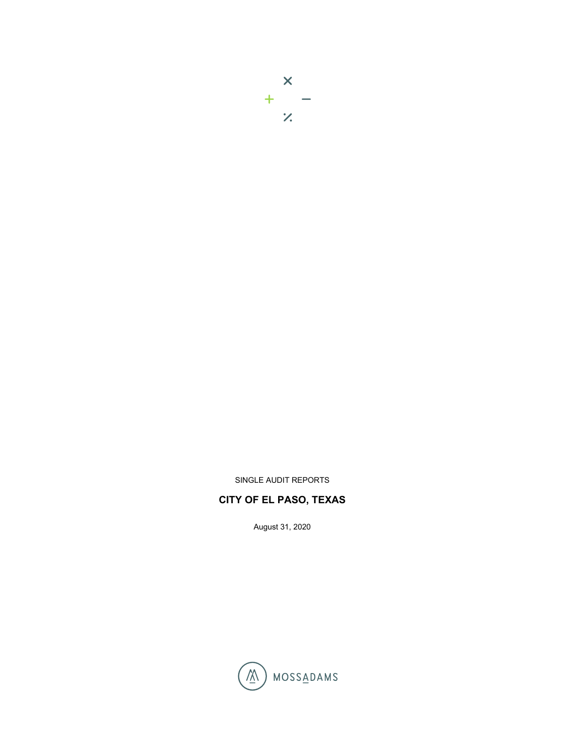

SINGLE AUDIT REPORTS

## **CITY OF EL PASO, TEXAS**

August 31, 2020

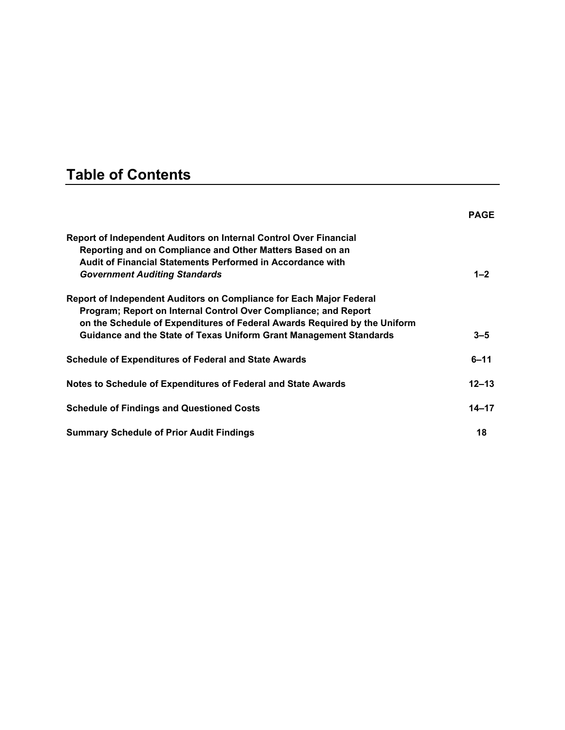# **Table of Contents**

|                                                                                                                                                                                                                     | <b>PAGE</b> |
|---------------------------------------------------------------------------------------------------------------------------------------------------------------------------------------------------------------------|-------------|
| <b>Report of Independent Auditors on Internal Control Over Financial</b><br>Reporting and on Compliance and Other Matters Based on an<br>Audit of Financial Statements Performed in Accordance with                 |             |
| <b>Government Auditing Standards</b>                                                                                                                                                                                | $1 - 2$     |
| Report of Independent Auditors on Compliance for Each Major Federal<br>Program; Report on Internal Control Over Compliance; and Report<br>on the Schedule of Expenditures of Federal Awards Required by the Uniform | $3 - 5$     |
| Guidance and the State of Texas Uniform Grant Management Standards                                                                                                                                                  |             |
| <b>Schedule of Expenditures of Federal and State Awards</b>                                                                                                                                                         | $6 - 11$    |
| Notes to Schedule of Expenditures of Federal and State Awards                                                                                                                                                       | $12 - 13$   |
| <b>Schedule of Findings and Questioned Costs</b>                                                                                                                                                                    | $14 - 17$   |
| <b>Summary Schedule of Prior Audit Findings</b>                                                                                                                                                                     | 18          |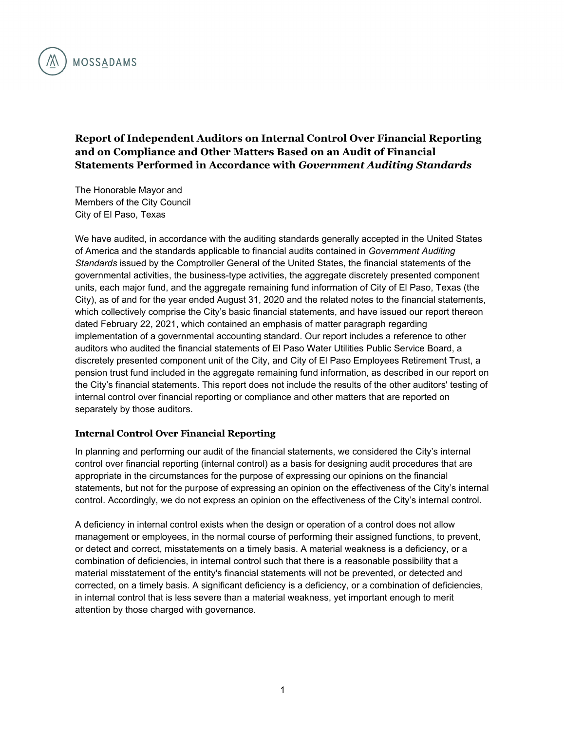

### **Report of Independent Auditors on Internal Control Over Financial Reporting and on Compliance and Other Matters Based on an Audit of Financial Statements Performed in Accordance with** *Government Auditing Standards*

The Honorable Mayor and Members of the City Council City of El Paso, Texas

We have audited, in accordance with the auditing standards generally accepted in the United States of America and the standards applicable to financial audits contained in *Government Auditing Standards* issued by the Comptroller General of the United States, the financial statements of the governmental activities, the business-type activities, the aggregate discretely presented component units, each major fund, and the aggregate remaining fund information of City of El Paso, Texas (the City), as of and for the year ended August 31, 2020 and the related notes to the financial statements, which collectively comprise the City's basic financial statements, and have issued our report thereon dated February 22, 2021, which contained an emphasis of matter paragraph regarding implementation of a governmental accounting standard. Our report includes a reference to other auditors who audited the financial statements of El Paso Water Utilities Public Service Board, a discretely presented component unit of the City, and City of El Paso Employees Retirement Trust, a pension trust fund included in the aggregate remaining fund information, as described in our report on the City's financial statements. This report does not include the results of the other auditors' testing of internal control over financial reporting or compliance and other matters that are reported on separately by those auditors.

### **Internal Control Over Financial Reporting**

In planning and performing our audit of the financial statements, we considered the City's internal control over financial reporting (internal control) as a basis for designing audit procedures that are appropriate in the circumstances for the purpose of expressing our opinions on the financial statements, but not for the purpose of expressing an opinion on the effectiveness of the City's internal control. Accordingly, we do not express an opinion on the effectiveness of the City's internal control.

A deficiency in internal control exists when the design or operation of a control does not allow management or employees, in the normal course of performing their assigned functions, to prevent, or detect and correct, misstatements on a timely basis. A material weakness is a deficiency, or a combination of deficiencies, in internal control such that there is a reasonable possibility that a material misstatement of the entity's financial statements will not be prevented, or detected and corrected, on a timely basis. A significant deficiency is a deficiency, or a combination of deficiencies, in internal control that is less severe than a material weakness, yet important enough to merit attention by those charged with governance.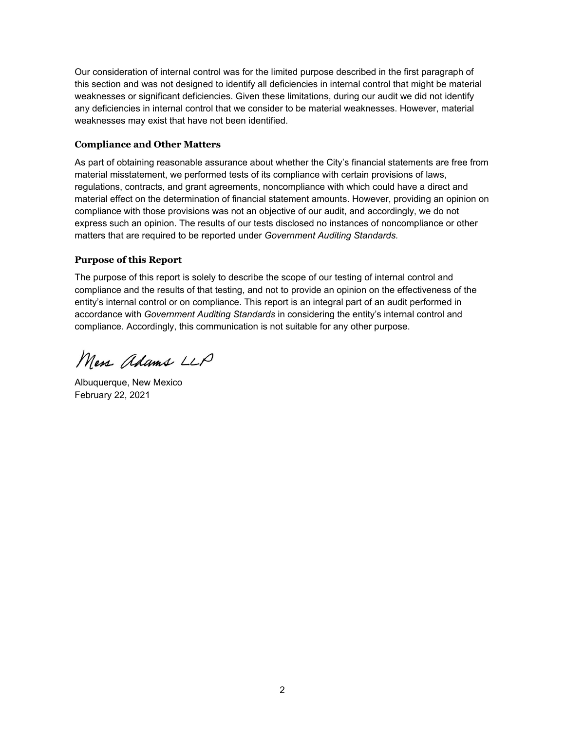Our consideration of internal control was for the limited purpose described in the first paragraph of this section and was not designed to identify all deficiencies in internal control that might be material weaknesses or significant deficiencies. Given these limitations, during our audit we did not identify any deficiencies in internal control that we consider to be material weaknesses. However, material weaknesses may exist that have not been identified.

### **Compliance and Other Matters**

As part of obtaining reasonable assurance about whether the City's financial statements are free from material misstatement, we performed tests of its compliance with certain provisions of laws, regulations, contracts, and grant agreements, noncompliance with which could have a direct and material effect on the determination of financial statement amounts. However, providing an opinion on compliance with those provisions was not an objective of our audit, and accordingly, we do not express such an opinion. The results of our tests disclosed no instances of noncompliance or other matters that are required to be reported under *Government Auditing Standards.*

#### **Purpose of this Report**

The purpose of this report is solely to describe the scope of our testing of internal control and compliance and the results of that testing, and not to provide an opinion on the effectiveness of the entity's internal control or on compliance. This report is an integral part of an audit performed in accordance with *Government Auditing Standards* in considering the entity's internal control and compliance. Accordingly, this communication is not suitable for any other purpose.

Mess adams LLP

Albuquerque, New Mexico February 22, 2021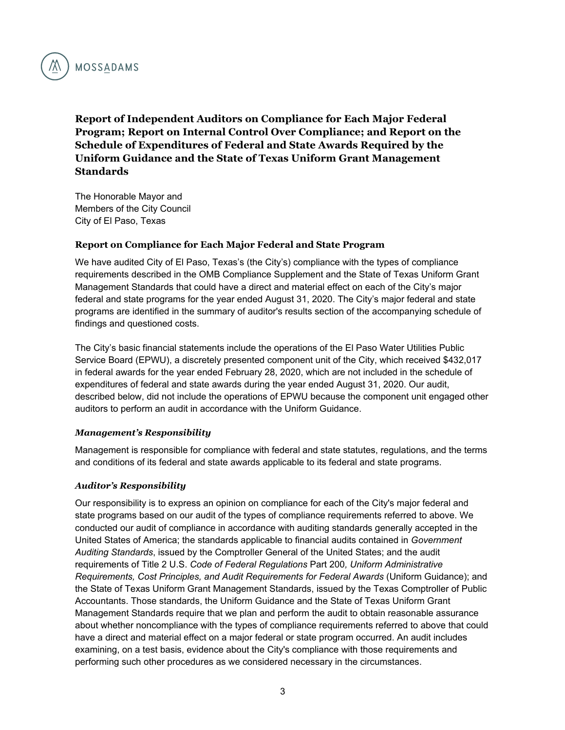

**Report of Independent Auditors on Compliance for Each Major Federal Program; Report on Internal Control Over Compliance; and Report on the Schedule of Expenditures of Federal and State Awards Required by the Uniform Guidance and the State of Texas Uniform Grant Management Standards** 

The Honorable Mayor and Members of the City Council City of El Paso, Texas

#### **Report on Compliance for Each Major Federal and State Program**

We have audited City of El Paso, Texas's (the City's) compliance with the types of compliance requirements described in the OMB Compliance Supplement and the State of Texas Uniform Grant Management Standards that could have a direct and material effect on each of the City's major federal and state programs for the year ended August 31, 2020. The City's major federal and state programs are identified in the summary of auditor's results section of the accompanying schedule of findings and questioned costs.

The City's basic financial statements include the operations of the El Paso Water Utilities Public Service Board (EPWU), a discretely presented component unit of the City, which received \$432,017 in federal awards for the year ended February 28, 2020, which are not included in the schedule of expenditures of federal and state awards during the year ended August 31, 2020. Our audit, described below, did not include the operations of EPWU because the component unit engaged other auditors to perform an audit in accordance with the Uniform Guidance.

#### *Management's Responsibility*

Management is responsible for compliance with federal and state statutes, regulations, and the terms and conditions of its federal and state awards applicable to its federal and state programs.

#### *Auditor's Responsibility*

Our responsibility is to express an opinion on compliance for each of the City's major federal and state programs based on our audit of the types of compliance requirements referred to above. We conducted our audit of compliance in accordance with auditing standards generally accepted in the United States of America; the standards applicable to financial audits contained in *Government Auditing Standards*, issued by the Comptroller General of the United States; and the audit requirements of Title 2 U.S. *Code of Federal Regulations* Part 200*, Uniform Administrative Requirements, Cost Principles, and Audit Requirements for Federal Awards* (Uniform Guidance); and the State of Texas Uniform Grant Management Standards, issued by the Texas Comptroller of Public Accountants. Those standards, the Uniform Guidance and the State of Texas Uniform Grant Management Standards require that we plan and perform the audit to obtain reasonable assurance about whether noncompliance with the types of compliance requirements referred to above that could have a direct and material effect on a major federal or state program occurred. An audit includes examining, on a test basis, evidence about the City's compliance with those requirements and performing such other procedures as we considered necessary in the circumstances.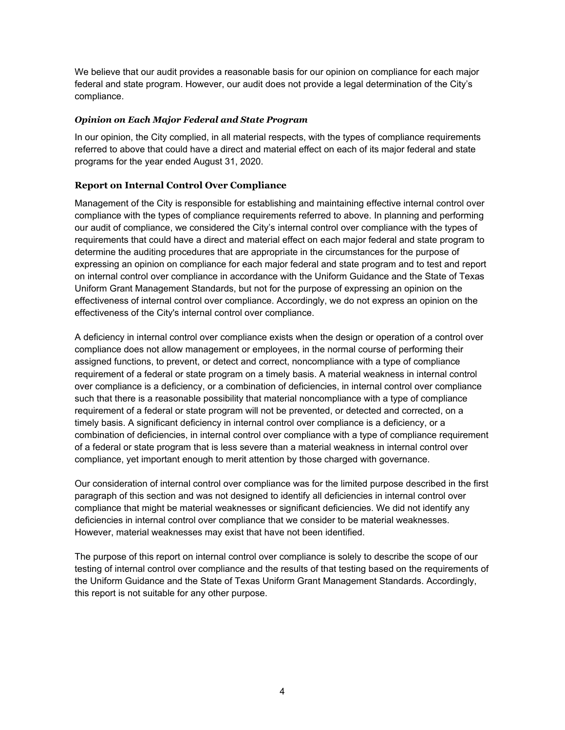We believe that our audit provides a reasonable basis for our opinion on compliance for each major federal and state program. However, our audit does not provide a legal determination of the City's compliance.

#### *Opinion on Each Major Federal and State Program*

In our opinion, the City complied, in all material respects, with the types of compliance requirements referred to above that could have a direct and material effect on each of its major federal and state programs for the year ended August 31, 2020.

### **Report on Internal Control Over Compliance**

Management of the City is responsible for establishing and maintaining effective internal control over compliance with the types of compliance requirements referred to above. In planning and performing our audit of compliance, we considered the City's internal control over compliance with the types of requirements that could have a direct and material effect on each major federal and state program to determine the auditing procedures that are appropriate in the circumstances for the purpose of expressing an opinion on compliance for each major federal and state program and to test and report on internal control over compliance in accordance with the Uniform Guidance and the State of Texas Uniform Grant Management Standards, but not for the purpose of expressing an opinion on the effectiveness of internal control over compliance. Accordingly, we do not express an opinion on the effectiveness of the City's internal control over compliance.

A deficiency in internal control over compliance exists when the design or operation of a control over compliance does not allow management or employees, in the normal course of performing their assigned functions, to prevent, or detect and correct, noncompliance with a type of compliance requirement of a federal or state program on a timely basis. A material weakness in internal control over compliance is a deficiency, or a combination of deficiencies, in internal control over compliance such that there is a reasonable possibility that material noncompliance with a type of compliance requirement of a federal or state program will not be prevented, or detected and corrected, on a timely basis. A significant deficiency in internal control over compliance is a deficiency, or a combination of deficiencies, in internal control over compliance with a type of compliance requirement of a federal or state program that is less severe than a material weakness in internal control over compliance, yet important enough to merit attention by those charged with governance.

Our consideration of internal control over compliance was for the limited purpose described in the first paragraph of this section and was not designed to identify all deficiencies in internal control over compliance that might be material weaknesses or significant deficiencies. We did not identify any deficiencies in internal control over compliance that we consider to be material weaknesses. However, material weaknesses may exist that have not been identified.

The purpose of this report on internal control over compliance is solely to describe the scope of our testing of internal control over compliance and the results of that testing based on the requirements of the Uniform Guidance and the State of Texas Uniform Grant Management Standards. Accordingly, this report is not suitable for any other purpose.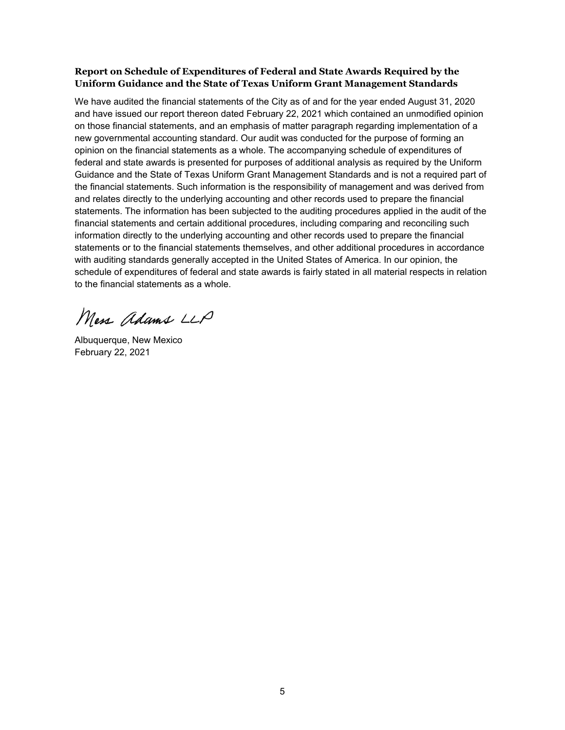### **Report on Schedule of Expenditures of Federal and State Awards Required by the Uniform Guidance and the State of Texas Uniform Grant Management Standards**

We have audited the financial statements of the City as of and for the year ended August 31, 2020 and have issued our report thereon dated February 22, 2021 which contained an unmodified opinion on those financial statements, and an emphasis of matter paragraph regarding implementation of a new governmental accounting standard. Our audit was conducted for the purpose of forming an opinion on the financial statements as a whole. The accompanying schedule of expenditures of federal and state awards is presented for purposes of additional analysis as required by the Uniform Guidance and the State of Texas Uniform Grant Management Standards and is not a required part of the financial statements. Such information is the responsibility of management and was derived from and relates directly to the underlying accounting and other records used to prepare the financial statements. The information has been subjected to the auditing procedures applied in the audit of the financial statements and certain additional procedures, including comparing and reconciling such information directly to the underlying accounting and other records used to prepare the financial statements or to the financial statements themselves, and other additional procedures in accordance with auditing standards generally accepted in the United States of America. In our opinion, the schedule of expenditures of federal and state awards is fairly stated in all material respects in relation to the financial statements as a whole.

Mess adams LLP

Albuquerque, New Mexico February 22, 2021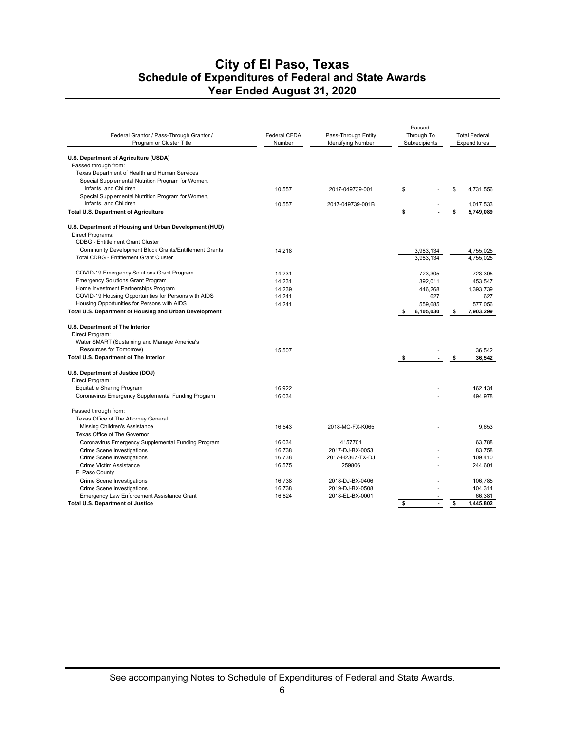|                                                                            | Federal CFDA |                                                  | Passed                      | <b>Total Federal</b> |
|----------------------------------------------------------------------------|--------------|--------------------------------------------------|-----------------------------|----------------------|
| Federal Grantor / Pass-Through Grantor /<br>Program or Cluster Title       | Number       | Pass-Through Entity<br><b>Identifying Number</b> | Through To<br>Subrecipients | Expenditures         |
| U.S. Department of Agriculture (USDA)                                      |              |                                                  |                             |                      |
| Passed through from:                                                       |              |                                                  |                             |                      |
| Texas Department of Health and Human Services                              |              |                                                  |                             |                      |
| Special Supplemental Nutrition Program for Women,                          |              |                                                  |                             |                      |
| Infants, and Children                                                      | 10.557       | 2017-049739-001                                  | \$                          | \$<br>4,731,556      |
| Special Supplemental Nutrition Program for Women,                          |              |                                                  |                             |                      |
| Infants, and Children                                                      | 10.557       | 2017-049739-001B                                 |                             | 1,017,533            |
| <b>Total U.S. Department of Agriculture</b>                                |              |                                                  | \$                          | \$<br>5.749.089      |
| U.S. Department of Housing and Urban Development (HUD)<br>Direct Programs: |              |                                                  |                             |                      |
| <b>CDBG - Entitlement Grant Cluster</b>                                    |              |                                                  |                             |                      |
| Community Development Block Grants/Entitlement Grants                      | 14.218       |                                                  | 3,983,134                   | 4,755,025            |
| <b>Total CDBG - Entitlement Grant Cluster</b>                              |              |                                                  | 3.983.134                   | 4,755,025            |
|                                                                            |              |                                                  |                             |                      |
| COVID-19 Emergency Solutions Grant Program                                 | 14.231       |                                                  | 723,305                     | 723,305              |
| <b>Emergency Solutions Grant Program</b>                                   | 14.231       |                                                  | 392,011                     | 453,547              |
| Home Investment Partnerships Program                                       | 14.239       |                                                  | 446,268                     | 1,393,739            |
| COVID-19 Housing Opportunities for Persons with AIDS                       | 14.241       |                                                  | 627                         | 627                  |
| Housing Opportunities for Persons with AIDS                                | 14.241       |                                                  | 559,685                     | 577,056              |
| Total U.S. Department of Housing and Urban Development                     |              |                                                  | 6,105,030<br>s              | \$<br>7,903,299      |
| U.S. Department of The Interior                                            |              |                                                  |                             |                      |
| Direct Program:                                                            |              |                                                  |                             |                      |
| Water SMART (Sustaining and Manage America's                               |              |                                                  |                             |                      |
| Resources for Tomorrow)                                                    | 15.507       |                                                  |                             | 36,542               |
| Total U.S. Department of The Interior                                      |              |                                                  | \$<br>$\mathbf{r}$          | \$<br>36,542         |
| U.S. Department of Justice (DOJ)                                           |              |                                                  |                             |                      |
| Direct Program:                                                            |              |                                                  |                             |                      |
| Equitable Sharing Program                                                  | 16.922       |                                                  |                             | 162,134              |
| Coronavirus Emergency Supplemental Funding Program                         | 16.034       |                                                  |                             | 494,978              |
| Passed through from:                                                       |              |                                                  |                             |                      |
| Texas Office of The Attorney General                                       |              |                                                  |                             |                      |
| Missing Children's Assistance                                              | 16.543       | 2018-MC-FX-K065                                  |                             | 9,653                |
| Texas Office of The Governor                                               |              |                                                  |                             |                      |
| Coronavirus Emergency Supplemental Funding Program                         | 16.034       | 4157701                                          |                             | 63.788               |
| Crime Scene Investigations                                                 | 16.738       | 2017-DJ-BX-0053                                  |                             | 83.758               |
| Crime Scene Investigations                                                 | 16.738       | 2017-H2367-TX-DJ                                 |                             | 109,410              |
| Crime Victim Assistance<br>El Paso County                                  | 16.575       | 259806                                           |                             | 244,601              |
| Crime Scene Investigations                                                 | 16.738       | 2018-DJ-BX-0406                                  |                             | 106,785              |
| Crime Scene Investigations                                                 | 16.738       | 2019-DJ-BX-0508                                  |                             | 104,314              |
| Emergency Law Enforcement Assistance Grant                                 | 16.824       | 2018-EL-BX-0001                                  |                             | 66,381               |
| <b>Total U.S. Department of Justice</b>                                    |              |                                                  | \$<br>$\mathbf{r}$          | \$<br>1,445,802      |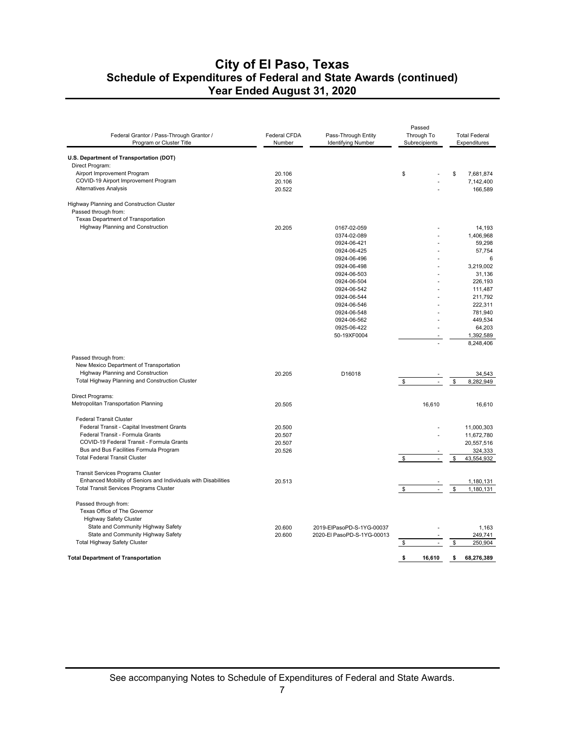| Federal Grantor / Pass-Through Grantor /<br>Program or Cluster Title | Federal CFDA<br>Number | Pass-Through Entity<br><b>Identifying Number</b> |            | Passed<br>Through To<br>Subrecipients | <b>Total Federal</b><br>Expenditures |
|----------------------------------------------------------------------|------------------------|--------------------------------------------------|------------|---------------------------------------|--------------------------------------|
| U.S. Department of Transportation (DOT)                              |                        |                                                  |            |                                       |                                      |
| Direct Program:                                                      |                        |                                                  |            |                                       |                                      |
| Airport Improvement Program                                          | 20.106                 |                                                  | \$         |                                       | \$<br>7,681,874                      |
| COVID-19 Airport Improvement Program                                 | 20.106                 |                                                  |            |                                       | 7,142,400                            |
| <b>Alternatives Analysis</b>                                         | 20.522                 |                                                  |            |                                       | 166,589                              |
| Highway Planning and Construction Cluster                            |                        |                                                  |            |                                       |                                      |
| Passed through from:                                                 |                        |                                                  |            |                                       |                                      |
| Texas Department of Transportation                                   |                        |                                                  |            |                                       |                                      |
| Highway Planning and Construction                                    | 20.205                 | 0167-02-059                                      |            |                                       | 14,193                               |
|                                                                      |                        | 0374-02-089                                      |            |                                       | 1,406,968                            |
|                                                                      |                        | 0924-06-421                                      |            |                                       | 59,298                               |
|                                                                      |                        | 0924-06-425                                      |            |                                       | 57,754                               |
|                                                                      |                        | 0924-06-496                                      |            |                                       | 6                                    |
|                                                                      |                        | 0924-06-498                                      |            |                                       | 3,219,002                            |
|                                                                      |                        | 0924-06-503                                      |            |                                       | 31,136                               |
|                                                                      |                        | 0924-06-504                                      |            |                                       | 226.193                              |
|                                                                      |                        | 0924-06-542                                      |            |                                       | 111,487                              |
|                                                                      |                        | 0924-06-544                                      |            |                                       | 211,792                              |
|                                                                      |                        | 0924-06-546                                      |            |                                       | 222,311                              |
|                                                                      |                        | 0924-06-548                                      |            |                                       | 781,940                              |
|                                                                      |                        | 0924-06-562                                      |            |                                       | 449,534                              |
|                                                                      |                        | 0925-06-422                                      |            |                                       | 64,203                               |
|                                                                      |                        | 50-19XF0004                                      |            | ÷.                                    | 1,392,589                            |
|                                                                      |                        |                                                  |            |                                       | 8,248,406                            |
| Passed through from:                                                 |                        |                                                  |            |                                       |                                      |
| New Mexico Department of Transportation                              |                        |                                                  |            |                                       |                                      |
| Highway Planning and Construction                                    | 20.205                 | D16018                                           |            |                                       | 34,543                               |
| Total Highway Planning and Construction Cluster                      |                        |                                                  | $\sqrt{3}$ |                                       | \$<br>8,282,949                      |
| Direct Programs:                                                     |                        |                                                  |            |                                       |                                      |
| Metropolitan Transportation Planning                                 | 20.505                 |                                                  |            | 16,610                                | 16,610                               |
| <b>Federal Transit Cluster</b>                                       |                        |                                                  |            |                                       |                                      |
| Federal Transit - Capital Investment Grants                          | 20.500                 |                                                  |            |                                       | 11,000,303                           |
| Federal Transit - Formula Grants                                     | 20.507                 |                                                  |            |                                       | 11,672,780                           |
| COVID-19 Federal Transit - Formula Grants                            | 20.507                 |                                                  |            |                                       | 20,557,516                           |
| Bus and Bus Facilities Formula Program                               | 20.526                 |                                                  |            |                                       | 324,333                              |
| <b>Total Federal Transit Cluster</b>                                 |                        |                                                  | \$         | ÷,                                    | \$<br>43,554,932                     |
| <b>Transit Services Programs Cluster</b>                             |                        |                                                  |            |                                       |                                      |
| Enhanced Mobility of Seniors and Individuals with Disabilities       | 20.513                 |                                                  |            |                                       | 1,180,131                            |
| <b>Total Transit Services Programs Cluster</b>                       |                        |                                                  | \$         | $\omega$                              | \$<br>1,180,131                      |
| Passed through from:                                                 |                        |                                                  |            |                                       |                                      |
| Texas Office of The Governor                                         |                        |                                                  |            |                                       |                                      |
| <b>Highway Safety Cluster</b>                                        |                        |                                                  |            |                                       |                                      |
| State and Community Highway Safety                                   | 20.600                 | 2019-EIPasoPD-S-1YG-00037                        |            |                                       | 1,163                                |
| State and Community Highway Safety                                   | 20.600                 | 2020-El PasoPD-S-1YG-00013                       |            |                                       | 249,741                              |
| <b>Total Highway Safety Cluster</b>                                  |                        |                                                  | \$         |                                       | \$<br>250,904                        |
|                                                                      |                        |                                                  |            |                                       |                                      |
| <b>Total Department of Transportation</b>                            |                        |                                                  | \$         | 16,610                                | \$<br>68,276,389                     |

See accompanying Notes to Schedule of Expenditures of Federal and State Awards.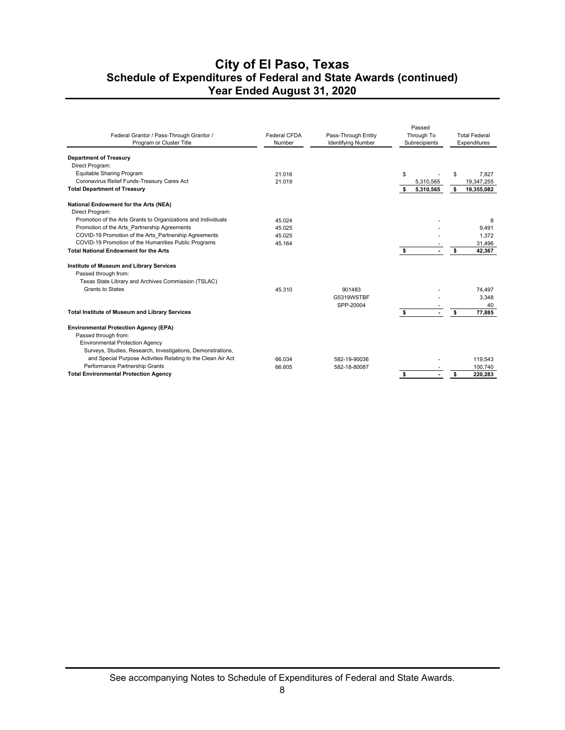| Federal Grantor / Pass-Through Grantor /<br>Program or Cluster Title | Federal CFDA<br>Number | Pass-Through Entity<br><b>Identifying Number</b> | Passed<br>Through To<br>Subrecipients |           |    | <b>Total Federal</b><br>Expenditures |
|----------------------------------------------------------------------|------------------------|--------------------------------------------------|---------------------------------------|-----------|----|--------------------------------------|
| <b>Department of Treasury</b>                                        |                        |                                                  |                                       |           |    |                                      |
| Direct Program:                                                      |                        |                                                  |                                       |           |    |                                      |
| Equitable Sharing Program                                            | 21.016                 |                                                  | \$                                    |           | \$ | 7,827                                |
| Coronavirus Relief Funds-Treasury Cares Act                          | 21.019                 |                                                  |                                       | 5,310,565 |    | 19,347,255                           |
| <b>Total Department of Treasury</b>                                  |                        |                                                  |                                       | 5,310,565 | \$ | 19,355,082                           |
| National Endowment for the Arts (NEA)                                |                        |                                                  |                                       |           |    |                                      |
| Direct Program:                                                      |                        |                                                  |                                       |           |    |                                      |
| Promotion of the Arts Grants to Organizations and Individuals        | 45.024                 |                                                  |                                       |           |    | 8                                    |
| Promotion of the Arts Partnership Agreements                         | 45.025                 |                                                  |                                       |           |    | 9,491                                |
| COVID-19 Promotion of the Arts Partnership Agreements                | 45.025                 |                                                  |                                       |           |    | 1,372                                |
| COVID-19 Promotion of the Humanities Public Programs                 | 45.164                 |                                                  |                                       |           |    | 31,496                               |
| <b>Total National Endowment for the Arts</b>                         |                        |                                                  | S.                                    |           | S  | 42,367                               |
| Institute of Museum and Library Services<br>Passed through from:     |                        |                                                  |                                       |           |    |                                      |
| Texas State Library and Archives Commission (TSLAC)                  |                        |                                                  |                                       |           |    |                                      |
| Grants to States                                                     | 45.310                 | 901483                                           |                                       |           |    | 74,497                               |
|                                                                      |                        | G5319WSTBF                                       |                                       |           |    | 3,348                                |
|                                                                      |                        | SPP-20004                                        |                                       |           |    | 40                                   |
| Total Institute of Museum and Library Services                       |                        |                                                  |                                       |           | \$ | 77,885                               |
| <b>Environmental Protection Agency (EPA)</b>                         |                        |                                                  |                                       |           |    |                                      |
| Passed through from:                                                 |                        |                                                  |                                       |           |    |                                      |
| <b>Environmental Protection Agency</b>                               |                        |                                                  |                                       |           |    |                                      |
| Surveys, Studies, Research, Investigations, Demonstrations,          |                        |                                                  |                                       |           |    |                                      |
| and Special Purpose Activities Relating to the Clean Air Act         | 66.034                 | 582-19-90036                                     |                                       |           |    | 119,543                              |
| Performance Partnership Grants                                       | 66.605                 | 582-18-80087                                     |                                       |           |    | 100.740                              |
| <b>Total Environmental Protection Agency</b>                         |                        |                                                  | \$                                    |           | \$ | 220.283                              |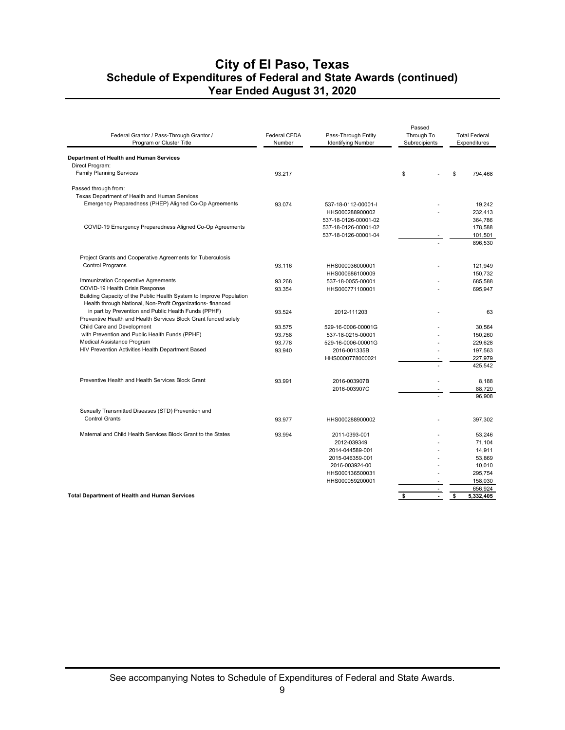| Federal Grantor / Pass-Through Grantor /<br>Program or Cluster Title                                                               | <b>Federal CFDA</b><br>Number | Pass-Through Entity<br><b>Identifying Number</b> | Passed<br>Through To<br>Subrecipients |    | <b>Total Federal</b><br>Expenditures |
|------------------------------------------------------------------------------------------------------------------------------------|-------------------------------|--------------------------------------------------|---------------------------------------|----|--------------------------------------|
| Department of Health and Human Services                                                                                            |                               |                                                  |                                       |    |                                      |
| Direct Program:                                                                                                                    |                               |                                                  |                                       |    |                                      |
| <b>Family Planning Services</b>                                                                                                    | 93.217                        |                                                  | \$                                    | \$ | 794,468                              |
| Passed through from:                                                                                                               |                               |                                                  |                                       |    |                                      |
| Texas Department of Health and Human Services                                                                                      |                               |                                                  |                                       |    |                                      |
| Emergency Preparedness (PHEP) Aligned Co-Op Agreements                                                                             | 93.074                        | 537-18-0112-00001-I                              |                                       |    | 19.242                               |
|                                                                                                                                    |                               | HHS000288900002                                  |                                       |    | 232,413                              |
|                                                                                                                                    |                               | 537-18-0126-00001-02                             |                                       |    | 364,786                              |
| COVID-19 Emergency Preparedness Aligned Co-Op Agreements                                                                           |                               | 537-18-0126-00001-02                             |                                       |    | 178,588                              |
|                                                                                                                                    |                               | 537-18-0126-00001-04                             |                                       |    | 101,501                              |
|                                                                                                                                    |                               |                                                  |                                       |    | 896,530                              |
| Project Grants and Cooperative Agreements for Tuberculosis                                                                         |                               |                                                  |                                       |    |                                      |
| <b>Control Programs</b>                                                                                                            | 93.116                        | HHS000036000001                                  |                                       |    | 121,949                              |
|                                                                                                                                    |                               | HHS000686100009                                  |                                       |    | 150,732                              |
| Immunization Cooperative Agreements                                                                                                | 93.268                        | 537-18-0055-00001                                |                                       |    | 685,588                              |
| COVID-19 Health Crisis Response                                                                                                    | 93.354                        | HHS000771100001                                  |                                       |    | 695,947                              |
| Building Capacity of the Public Health System to Improve Population<br>Health through National, Non-Profit Organizations- financed |                               |                                                  |                                       |    |                                      |
| in part by Prevention and Public Health Funds (PPHF)<br>Preventive Health and Health Services Block Grant funded solely            | 93.524                        | 2012-111203                                      |                                       |    | 63                                   |
| Child Care and Development                                                                                                         | 93.575                        | 529-16-0006-00001G                               |                                       |    | 30.564                               |
| with Prevention and Public Health Funds (PPHF)                                                                                     | 93.758                        | 537-18-0215-00001                                |                                       |    | 150,260                              |
| Medical Assistance Program                                                                                                         | 93.778                        | 529-16-0006-00001G                               |                                       |    | 229,628                              |
| HIV Prevention Activities Health Department Based                                                                                  |                               |                                                  |                                       |    |                                      |
|                                                                                                                                    | 93.940                        | 2016-001335B                                     |                                       |    | 197,563                              |
|                                                                                                                                    |                               | HHS0000778000021                                 |                                       |    | 227,979                              |
|                                                                                                                                    |                               |                                                  |                                       |    | 425,542                              |
| Preventive Health and Health Services Block Grant                                                                                  | 93.991                        | 2016-003907B                                     |                                       |    | 8,188                                |
|                                                                                                                                    |                               | 2016-003907C                                     |                                       |    | 88,720                               |
|                                                                                                                                    |                               |                                                  |                                       |    | 96,908                               |
|                                                                                                                                    |                               |                                                  |                                       |    |                                      |
| Sexually Transmitted Diseases (STD) Prevention and                                                                                 |                               |                                                  |                                       |    |                                      |
| <b>Control Grants</b>                                                                                                              | 93.977                        | HHS000288900002                                  |                                       |    | 397,302                              |
| Maternal and Child Health Services Block Grant to the States                                                                       | 93.994                        | 2011-0393-001                                    |                                       |    | 53.246                               |
|                                                                                                                                    |                               | 2012-039349                                      |                                       |    | 71.104                               |
|                                                                                                                                    |                               | 2014-044589-001                                  |                                       |    | 14,911                               |
|                                                                                                                                    |                               | 2015-046359-001                                  |                                       |    | 53,869                               |
|                                                                                                                                    |                               | 2016-003924-00                                   |                                       |    | 10,010                               |
|                                                                                                                                    |                               | HHS000136500031                                  |                                       |    | 295,754                              |
|                                                                                                                                    |                               | HHS000059200001                                  |                                       |    | 158,030                              |
|                                                                                                                                    |                               |                                                  |                                       |    | 656,924                              |
| <b>Total Department of Health and Human Services</b>                                                                               |                               |                                                  | \$                                    | \$ | 5,332,405                            |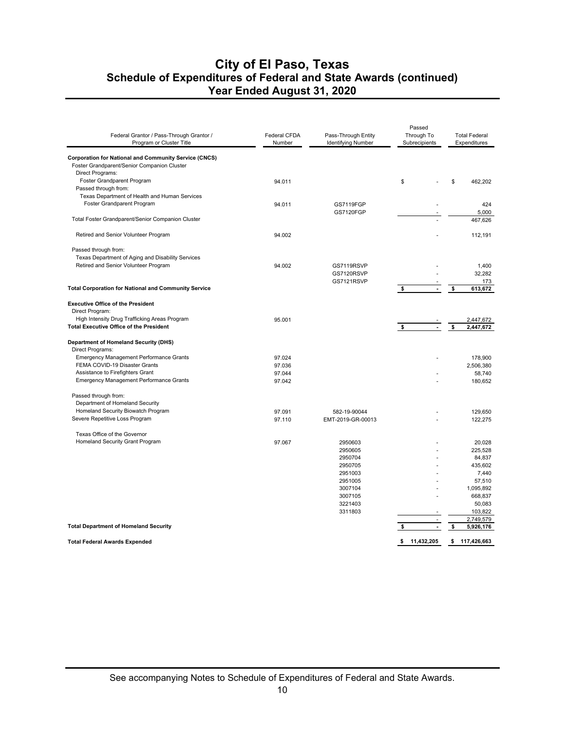| Federal Grantor / Pass-Through Grantor /<br>Program or Cluster Title                                                            | Federal CFDA<br>Number | Pass-Through Entity<br><b>Identifying Number</b> | Passed<br>Through To<br>Subrecipients |                | <b>Total Federal</b><br>Expenditures |
|---------------------------------------------------------------------------------------------------------------------------------|------------------------|--------------------------------------------------|---------------------------------------|----------------|--------------------------------------|
| <b>Corporation for National and Community Service (CNCS)</b><br>Foster Grandparent/Senior Companion Cluster<br>Direct Programs: |                        |                                                  |                                       |                |                                      |
| Foster Grandparent Program                                                                                                      | 94.011                 |                                                  | \$                                    |                | \$<br>462,202                        |
| Passed through from:                                                                                                            |                        |                                                  |                                       |                |                                      |
| Texas Department of Health and Human Services                                                                                   |                        |                                                  |                                       |                |                                      |
| Foster Grandparent Program                                                                                                      | 94.011                 | GS7119FGP                                        |                                       |                | 424                                  |
|                                                                                                                                 |                        | GS7120FGP                                        |                                       |                | 5.000                                |
| Total Foster Grandparent/Senior Companion Cluster                                                                               |                        |                                                  |                                       |                | 467,626                              |
| Retired and Senior Volunteer Program                                                                                            | 94.002                 |                                                  |                                       |                | 112,191                              |
| Passed through from:                                                                                                            |                        |                                                  |                                       |                |                                      |
| Texas Department of Aging and Disability Services                                                                               |                        |                                                  |                                       |                |                                      |
| Retired and Senior Volunteer Program                                                                                            | 94.002                 | GS7119RSVP                                       |                                       |                | 1,400                                |
|                                                                                                                                 |                        | GS7120RSVP                                       |                                       |                | 32,282                               |
|                                                                                                                                 |                        | GS7121RSVP                                       |                                       |                | 173                                  |
| <b>Total Corporation for National and Community Service</b>                                                                     |                        |                                                  | \$                                    | $\blacksquare$ | \$<br>613,672                        |
|                                                                                                                                 |                        |                                                  |                                       |                |                                      |
| <b>Executive Office of the President</b><br>Direct Program:                                                                     |                        |                                                  |                                       |                |                                      |
| High Intensity Drug Trafficking Areas Program                                                                                   | 95.001                 |                                                  |                                       |                | 2,447,672                            |
| <b>Total Executive Office of the President</b>                                                                                  |                        |                                                  | \$                                    | $\mathbf{r}$   | \$<br>2,447,672                      |
| Department of Homeland Security (DHS)<br>Direct Programs:                                                                       |                        |                                                  |                                       |                |                                      |
| <b>Emergency Management Performance Grants</b>                                                                                  | 97.024                 |                                                  |                                       |                | 178,900                              |
| FEMA COVID-19 Disaster Grants                                                                                                   | 97.036                 |                                                  |                                       |                | 2,506,380                            |
| Assistance to Firefighters Grant                                                                                                | 97.044                 |                                                  |                                       |                | 58,740                               |
| <b>Emergency Management Performance Grants</b>                                                                                  | 97.042                 |                                                  |                                       |                | 180,652                              |
| Passed through from:                                                                                                            |                        |                                                  |                                       |                |                                      |
| Department of Homeland Security                                                                                                 |                        |                                                  |                                       |                |                                      |
| Homeland Security Biowatch Program                                                                                              | 97.091                 | 582-19-90044                                     |                                       |                | 129,650                              |
| Severe Repetitive Loss Program                                                                                                  | 97.110                 | EMT-2019-GR-00013                                |                                       |                | 122,275                              |
| Texas Office of the Governor                                                                                                    |                        |                                                  |                                       |                |                                      |
| Homeland Security Grant Program                                                                                                 | 97.067                 | 2950603                                          |                                       |                | 20,028                               |
|                                                                                                                                 |                        | 2950605                                          |                                       |                | 225,528                              |
|                                                                                                                                 |                        | 2950704                                          |                                       |                | 84,837                               |
|                                                                                                                                 |                        | 2950705                                          |                                       |                | 435,602                              |
|                                                                                                                                 |                        | 2951003                                          |                                       |                | 7,440                                |
|                                                                                                                                 |                        | 2951005                                          |                                       |                | 57,510                               |
|                                                                                                                                 |                        | 3007104                                          |                                       |                | 1,095,892                            |
|                                                                                                                                 |                        | 3007105                                          |                                       |                | 668,837                              |
|                                                                                                                                 |                        | 3221403                                          |                                       |                | 50,083                               |
|                                                                                                                                 |                        | 3311803                                          |                                       |                | 103,822                              |
|                                                                                                                                 |                        |                                                  |                                       | $\overline{a}$ | 2,749,579                            |
| <b>Total Department of Homeland Security</b>                                                                                    |                        |                                                  | \$                                    |                | \$<br>5,926,176                      |
| <b>Total Federal Awards Expended</b>                                                                                            |                        |                                                  | \$ 11,432,205                         |                | \$<br>117,426,663                    |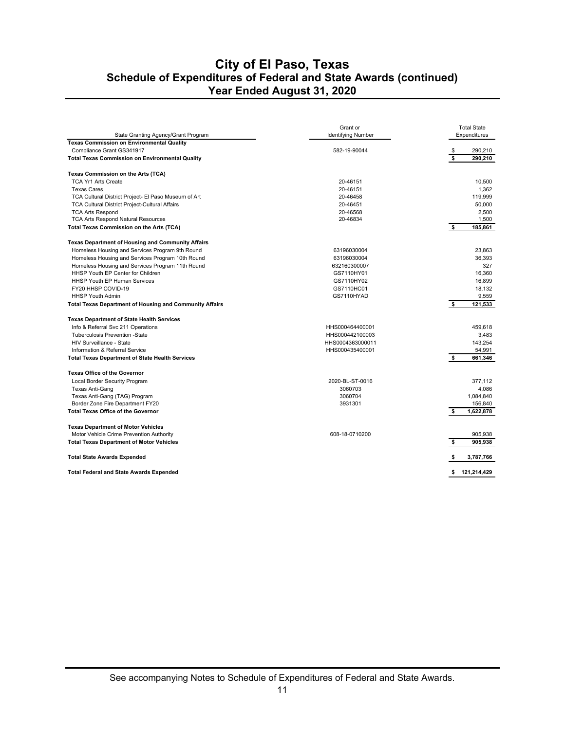| State Granting Agency/Grant Program                            | Grant or<br><b>Identifying Number</b> | <b>Total State</b><br><b>Expenditures</b> |
|----------------------------------------------------------------|---------------------------------------|-------------------------------------------|
| <b>Texas Commission on Environmental Quality</b>               |                                       |                                           |
| Compliance Grant GS341917                                      | 582-19-90044                          | 290,210                                   |
| <b>Total Texas Commission on Environmental Quality</b>         |                                       | \$<br>290,210                             |
| Texas Commission on the Arts (TCA)                             |                                       |                                           |
| <b>TCA Yr1 Arts Create</b>                                     | 20-46151                              | 10,500                                    |
| <b>Texas Cares</b>                                             | 20-46151                              | 1,362                                     |
| TCA Cultural District Project- El Paso Museum of Art           | 20-46458                              | 119,999                                   |
| TCA Cultural District Project-Cultural Affairs                 | 20-46451                              | 50,000                                    |
| <b>TCA Arts Respond</b>                                        | 20-46568                              | 2,500                                     |
| TCA Arts Respond Natural Resources                             | 20-46834                              | 1,500                                     |
| Total Texas Commission on the Arts (TCA)                       |                                       | \$<br>185,861                             |
| <b>Texas Department of Housing and Community Affairs</b>       |                                       |                                           |
| Homeless Housing and Services Program 9th Round                | 63196030004                           | 23,863                                    |
| Homeless Housing and Services Program 10th Round               | 63196030004                           | 36,393                                    |
| Homeless Housing and Services Program 11th Round               | 632160300007                          | 327                                       |
| HHSP Youth EP Center for Children                              | GS7110HY01                            | 16,360                                    |
| <b>HHSP Youth EP Human Services</b>                            | GS7110HY02                            | 16,899                                    |
| FY20 HHSP COVID-19                                             | GS7110HC01                            | 18,132                                    |
| <b>HHSP Youth Admin</b>                                        | GS7110HYAD                            | 9,559                                     |
| <b>Total Texas Department of Housing and Community Affairs</b> |                                       | \$<br>121,533                             |
| <b>Texas Department of State Health Services</b>               |                                       |                                           |
| Info & Referral Svc 211 Operations                             | HHS000464400001                       | 459,618                                   |
| <b>Tuberculosis Prevention -State</b>                          | HHS000442100003                       | 3,483                                     |
| <b>HIV Surveillance - State</b>                                | HHS0004363000011                      | 143,254                                   |
| Information & Referral Service                                 | HHS000435400001                       | 54,991                                    |
| <b>Total Texas Department of State Health Services</b>         |                                       | 661,346<br>s                              |
| <b>Texas Office of the Governor</b>                            |                                       |                                           |
| Local Border Security Program                                  | 2020-BL-ST-0016                       | 377,112                                   |
| <b>Texas Anti-Gang</b>                                         | 3060703                               | 4,086                                     |
| Texas Anti-Gang (TAG) Program                                  | 3060704                               | 1,084,840                                 |
| Border Zone Fire Department FY20                               | 3931301                               | 156,840                                   |
| <b>Total Texas Office of the Governor</b>                      |                                       | 1,622,878<br>s                            |
| <b>Texas Department of Motor Vehicles</b>                      |                                       |                                           |
| Motor Vehicle Crime Prevention Authority                       | 608-18-0710200                        | 905,938                                   |
| <b>Total Texas Department of Motor Vehicles</b>                |                                       | 905,938<br>\$                             |
| <b>Total State Awards Expended</b>                             |                                       | 3,787,766<br>s                            |
| <b>Total Federal and State Awards Expended</b>                 |                                       | 121,214,429<br>s                          |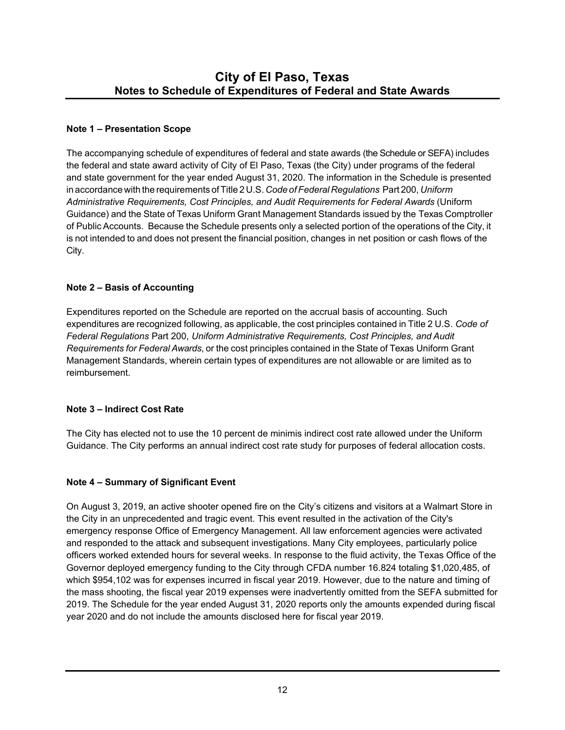### **Note 1 – Presentation Scope**

The accompanying schedule of expenditures of federal and state awards (the Schedule or SEFA) includes the federal and state award activity of City of El Paso, Texas (the City) under programs of the federal and state government for the year ended August 31, 2020. The information in the Schedule is presented in accordance with the requirements of Title 2 U.S. *Code of Federal Regulations* Part 200, *Uniform Administrative Requirements, Cost Principles, and Audit Requirements for Federal Awards* (Uniform Guidance) and the State of Texas Uniform Grant Management Standards issued by the Texas Comptroller of Public Accounts. Because the Schedule presents only a selected portion of the operations of the City, it is not intended to and does not present the financial position, changes in net position or cash flows of the City.

### **Note 2 – Basis of Accounting**

Expenditures reported on the Schedule are reported on the accrual basis of accounting. Such expenditures are recognized following, as applicable, the cost principles contained in Title 2 U.S. *Code of Federal Regulations* Part 200, *Uniform Administrative Requirements, Cost Principles, and Audit Requirements for Federal Awards*, or the cost principles contained in the State of Texas Uniform Grant Management Standards, wherein certain types of expenditures are not allowable or are limited as to reimbursement.

#### **Note 3 – Indirect Cost Rate**

The City has elected not to use the 10 percent de minimis indirect cost rate allowed under the Uniform Guidance. The City performs an annual indirect cost rate study for purposes of federal allocation costs.

### **Note 4 – Summary of Significant Event**

On August 3, 2019, an active shooter opened fire on the City's citizens and visitors at a Walmart Store in the City in an unprecedented and tragic event. This event resulted in the activation of the City's emergency response Office of Emergency Management. All law enforcement agencies were activated and responded to the attack and subsequent investigations. Many City employees, particularly police officers worked extended hours for several weeks. In response to the fluid activity, the Texas Office of the Governor deployed emergency funding to the City through CFDA number 16.824 totaling \$1,020,485, of which \$954,102 was for expenses incurred in fiscal year 2019. However, due to the nature and timing of the mass shooting, the fiscal year 2019 expenses were inadvertently omitted from the SEFA submitted for 2019. The Schedule for the year ended August 31, 2020 reports only the amounts expended during fiscal year 2020 and do not include the amounts disclosed here for fiscal year 2019.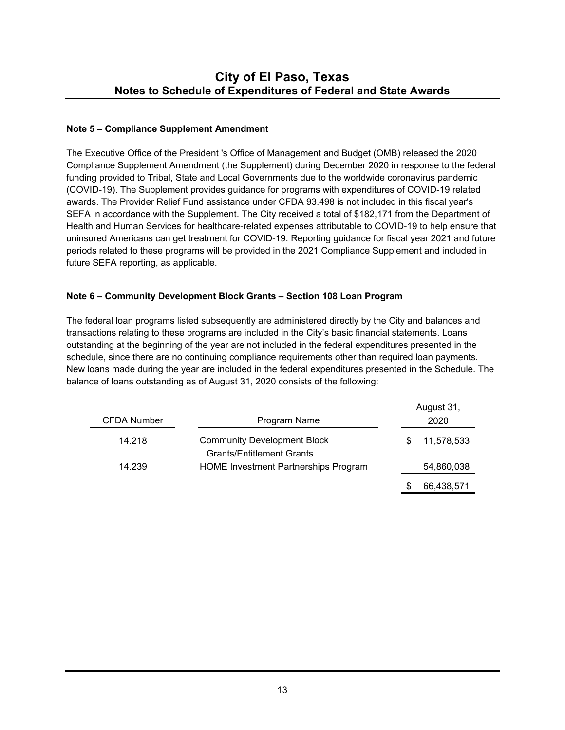### **Note 5 – Compliance Supplement Amendment**

The Executive Office of the President 's Office of Management and Budget (OMB) released the 2020 Compliance Supplement Amendment (the Supplement) during December 2020 in response to the federal funding provided to Tribal, State and Local Governments due to the worldwide coronavirus pandemic (COVID-19). The Supplement provides guidance for programs with expenditures of COVID-19 related awards. The Provider Relief Fund assistance under CFDA 93.498 is not included in this fiscal year's SEFA in accordance with the Supplement. The City received a total of \$182,171 from the Department of Health and Human Services for healthcare-related expenses attributable to COVID-19 to help ensure that uninsured Americans can get treatment for COVID-19. Reporting guidance for fiscal year 2021 and future periods related to these programs will be provided in the 2021 Compliance Supplement and included in future SEFA reporting, as applicable.

### **Note 6 – Community Development Block Grants – Section 108 Loan Program**

The federal loan programs listed subsequently are administered directly by the City and balances and transactions relating to these programs are included in the City's basic financial statements. Loans outstanding at the beginning of the year are not included in the federal expenditures presented in the schedule, since there are no continuing compliance requirements other than required loan payments. New loans made during the year are included in the federal expenditures presented in the Schedule. The balance of loans outstanding as of August 31, 2020 consists of the following:

| <b>CFDA Number</b> | Program Name                                                           | August 31,<br>2020 |
|--------------------|------------------------------------------------------------------------|--------------------|
| 14.218             | <b>Community Development Block</b><br><b>Grants/Entitlement Grants</b> | 11,578,533         |
| 14.239             | <b>HOME Investment Partnerships Program</b>                            | 54,860,038         |
|                    |                                                                        | 66,438,571         |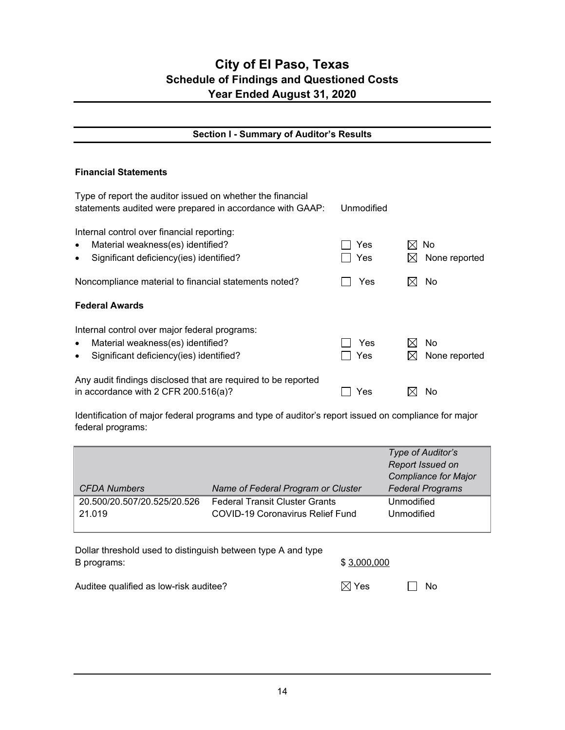### **Section I - Summary of Auditor's Results**

#### **Financial Statements**

| Type of report the auditor issued on whether the financial<br>statements audited were prepared in accordance with GAAP:                                 | Unmodified |                     |
|---------------------------------------------------------------------------------------------------------------------------------------------------------|------------|---------------------|
| Internal control over financial reporting:<br>Material weakness(es) identified?<br>$\bullet$<br>Significant deficiency(ies) identified?<br>$\bullet$    | Yes<br>Yes | No<br>None reported |
| Noncompliance material to financial statements noted?                                                                                                   | Yes        | No                  |
| <b>Federal Awards</b>                                                                                                                                   |            |                     |
| Internal control over major federal programs:<br>Material weakness(es) identified?<br>$\bullet$<br>Significant deficiency(ies) identified?<br>$\bullet$ | Yes<br>Yes | No<br>None reported |
| Any audit findings disclosed that are required to be reported<br>in accordance with 2 CFR 200.516(a)?                                                   | Yes        | No                  |

Identification of major federal programs and type of auditor's report issued on compliance for major federal programs:

|                             |                                       | Type of Auditor's<br>Report Issued on |
|-----------------------------|---------------------------------------|---------------------------------------|
|                             |                                       | <b>Compliance for Major</b>           |
| <b>CFDA Numbers</b>         | Name of Federal Program or Cluster    | <b>Federal Programs</b>               |
| 20.500/20.507/20.525/20.526 | <b>Federal Transit Cluster Grants</b> | l Jnmodified                          |
| 21.019                      | COVID-19 Coronavirus Relief Fund      | l Jnmodified                          |
|                             |                                       |                                       |

| Dollar threshold used to distinguish between type A and type |                 |           |
|--------------------------------------------------------------|-----------------|-----------|
| B programs:                                                  | \$3,000,000     |           |
| Auditee qualified as low-risk auditee?                       | $\boxtimes$ Yes | $\Box$ No |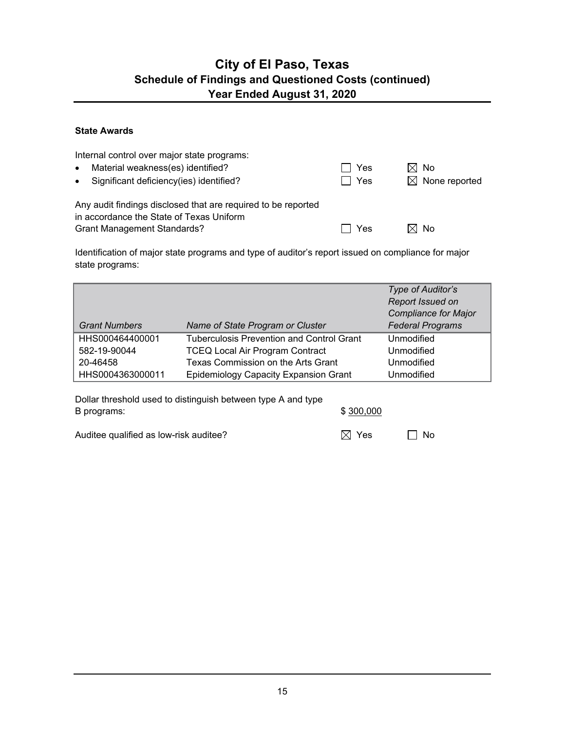### **City of El Paso, Texas Schedule of Findings and Questioned Costs (continued) Year Ended August 31, 2020**

### **State Awards**

| Internal control over major state programs:<br>Material weakness(es) identified?<br>$\bullet$<br>• Significant deficiency(ies) identified?      | $\Box$ Yes<br>∏ Yes | $\boxtimes$ No<br>$\boxtimes$ None reported |
|-------------------------------------------------------------------------------------------------------------------------------------------------|---------------------|---------------------------------------------|
| Any audit findings disclosed that are required to be reported<br>in accordance the State of Texas Uniform<br><b>Grant Management Standards?</b> | Yes                 | $\bowtie$ No                                |

Identification of major state programs and type of auditor's report issued on compliance for major state programs:

|                      |                                                  | Type of Auditor's           |
|----------------------|--------------------------------------------------|-----------------------------|
|                      |                                                  | Report Issued on            |
|                      |                                                  | <b>Compliance for Major</b> |
| <b>Grant Numbers</b> | Name of State Program or Cluster                 | <b>Federal Programs</b>     |
| HHS000464400001      | <b>Tuberculosis Prevention and Control Grant</b> | Unmodified                  |
| 582-19-90044         | <b>TCEQ Local Air Program Contract</b>           | Unmodified                  |
| 20-46458             | Texas Commission on the Arts Grant               | Unmodified                  |
| HHS0004363000011     | <b>Epidemiology Capacity Expansion Grant</b>     | Unmodified                  |

Dollar threshold used to distinguish between type A and type B programs:  $$300,000$ 

Auditee qualified as low-risk auditee?  $\boxtimes$  Yes  $\Box$  No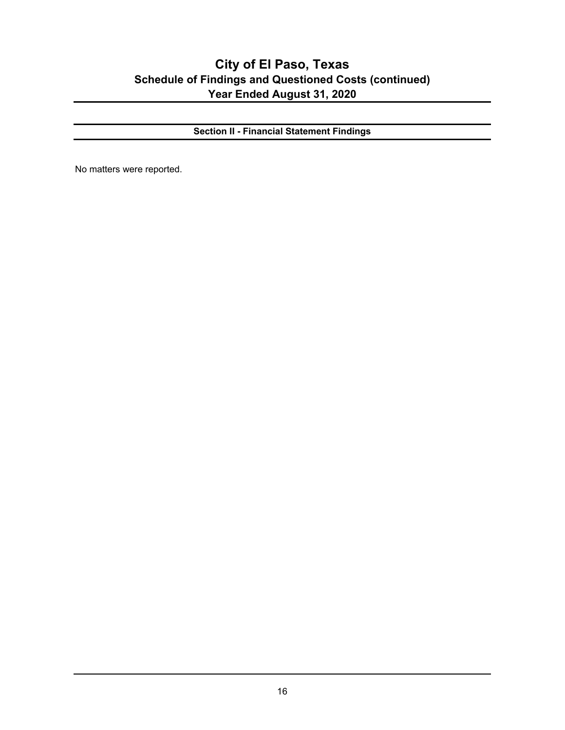# **City of El Paso, Texas Schedule of Findings and Questioned Costs (continued) Year Ended August 31, 2020**

**Section II - Financial Statement Findings** 

No matters were reported.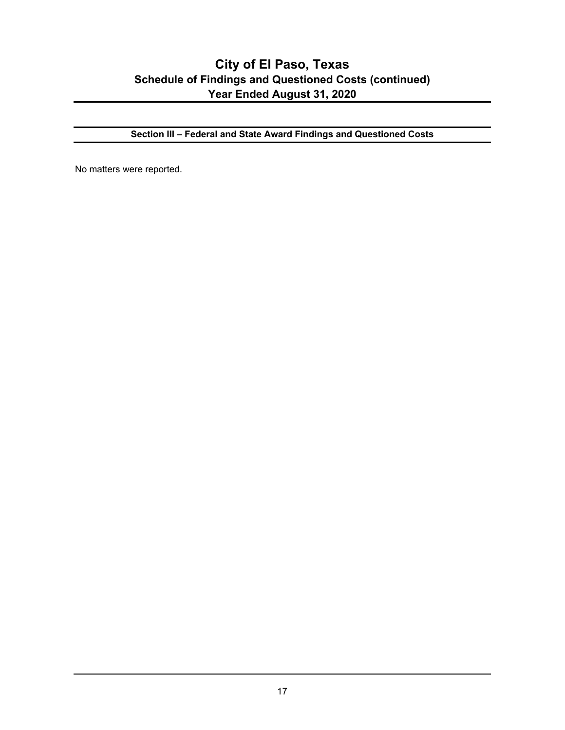# **City of El Paso, Texas Schedule of Findings and Questioned Costs (continued) Year Ended August 31, 2020**

**Section III – Federal and State Award Findings and Questioned Costs**

No matters were reported.